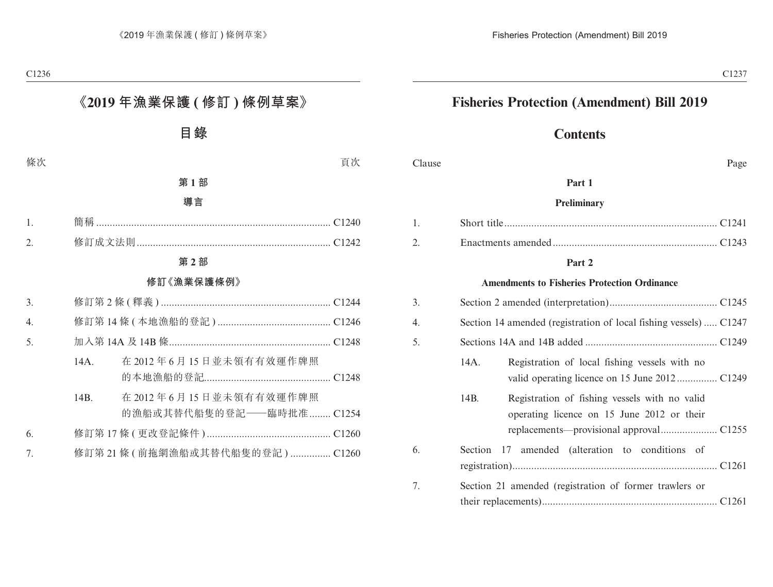# **Fisheries Protection (Amendment) Bill 2019**

# **Contents**

Clause Page

#### **Part 1**

#### **Preliminary**

#### **Part 2**

#### **Amendments to Fisheries Protection Ordinance**

| 3. |      |                                                                                             |  |
|----|------|---------------------------------------------------------------------------------------------|--|
| 4. |      | Section 14 amended (registration of local fishing vessels)  C1247                           |  |
| 5. |      |                                                                                             |  |
|    | 14A. | Registration of local fishing vessels with no                                               |  |
|    | 14B. | Registration of fishing vessels with no valid<br>operating licence on 15 June 2012 or their |  |
| 6. |      | Section 17 amended (alteration to conditions of                                             |  |
| 7. |      | Section 21 amended (registration of former trawlers or                                      |  |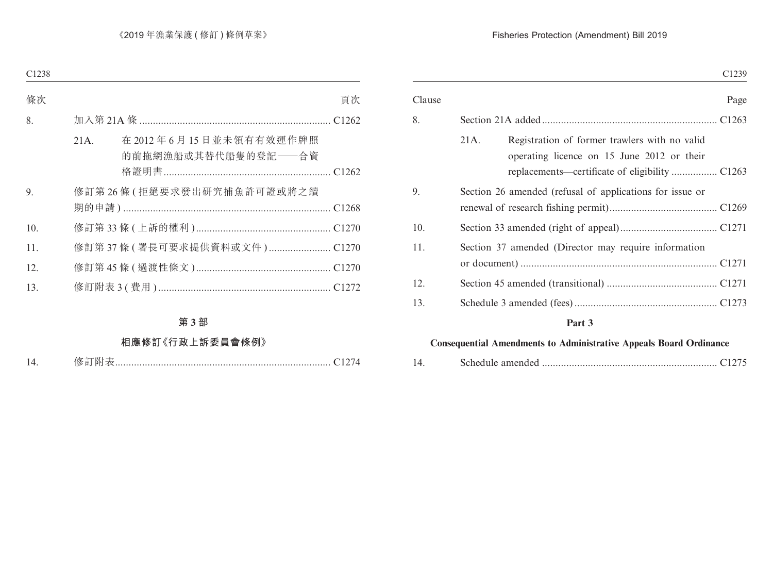### Fisheries Protection (Amendment) Bill 2019

|        | C1239                                                                                               |
|--------|-----------------------------------------------------------------------------------------------------|
| Clause | Page                                                                                                |
| 8.     |                                                                                                     |
|        | 21A.<br>Registration of former trawlers with no valid<br>operating licence on 15 June 2012 or their |
| 9.     | Section 26 amended (refusal of applications for issue or                                            |
| 10.    |                                                                                                     |
| 11.    | Section 37 amended (Director may require information                                                |
| 12.    |                                                                                                     |
| 13.    |                                                                                                     |
|        | Part 3                                                                                              |

### **Consequential Amendments to Administrative Appeals Board Ordinance**

| 14 |  |  |
|----|--|--|
|----|--|--|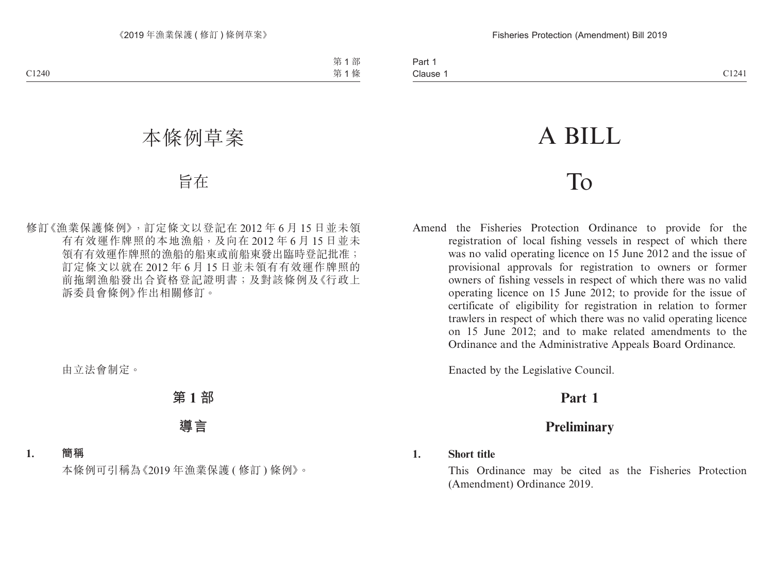# A BILL

# To

Amend the Fisheries Protection Ordinance to provide for the registration of local fishing vessels in respect of which there was no valid operating licence on 15 June 2012 and the issue of provisional approvals for registration to owners or former owners of fishing vessels in respect of which there was no valid operating licence on 15 June 2012; to provide for the issue of certificate of eligibility for registration in relation to former trawlers in respect of which there was no valid operating licence on 15 June 2012; and to make related amendments to the Ordinance and the Administrative Appeals Board Ordinance.

Enacted by the Legislative Council.

# **Part 1**

# **Preliminary**

### **1. Short title**

This Ordinance may be cited as the Fisheries Protection (Amendment) Ordinance 2019.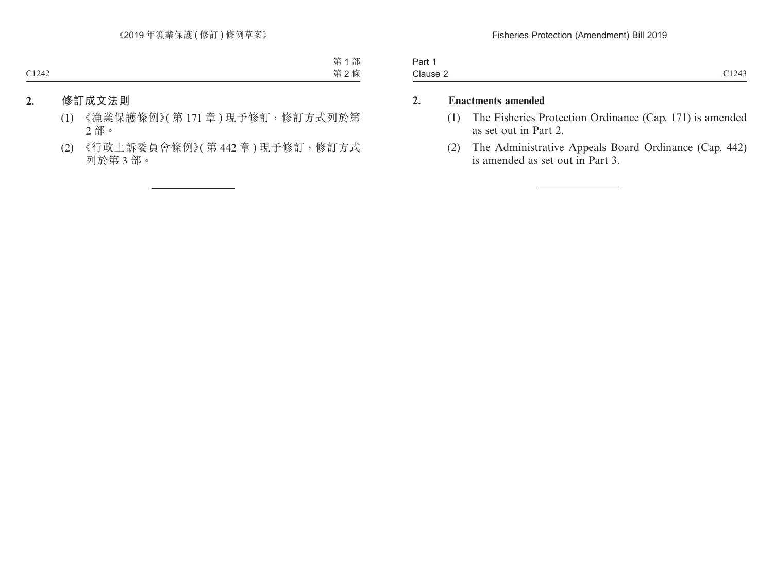| 3 <sub>cm</sub><br>ai t |               |
|-------------------------|---------------|
| Clause 2                | 01212<br>- 12 |

## **2. Enactments amended**

- (1) The Fisheries Protection Ordinance (Cap. 171) is amended as set out in Part 2.
- (2) The Administrative Appeals Board Ordinance (Cap. 442) is amended as set out in Part 3.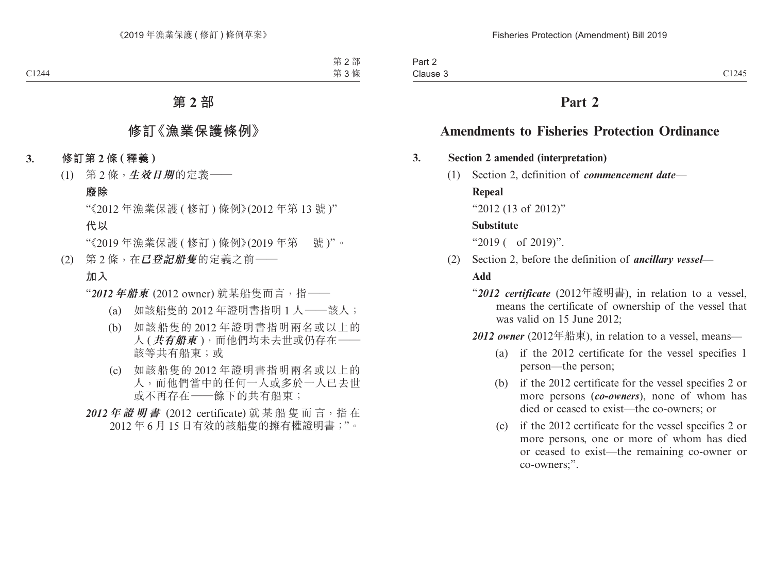# **Part 2**

# **Amendments to Fisheries Protection Ordinance**

#### **3. Section 2 amended (interpretation)**

(1) Section 2, definition of *commencement date*—

#### **Repeal**

"2012 (13 of 2012)"

#### **Substitute**

"2019 ( of 2019)".

(2) Section 2, before the definition of *ancillary vessel*—

### **Add**

- "*2012 certificate* (2012年證明書), in relation to a vessel, means the certificate of ownership of the vessel that was valid on 15 June 2012;
- *2012 owner* (2012年船東), in relation to a vessel, means—
	- (a) if the 2012 certificate for the vessel specifies 1 person—the person;
	- (b) if the 2012 certificate for the vessel specifies 2 or more persons (*co-owners*), none of whom has died or ceased to exist—the co-owners; or
	- (c) if the 2012 certificate for the vessel specifies 2 or more persons, one or more of whom has died or ceased to exist—the remaining co-owner or co-owners;".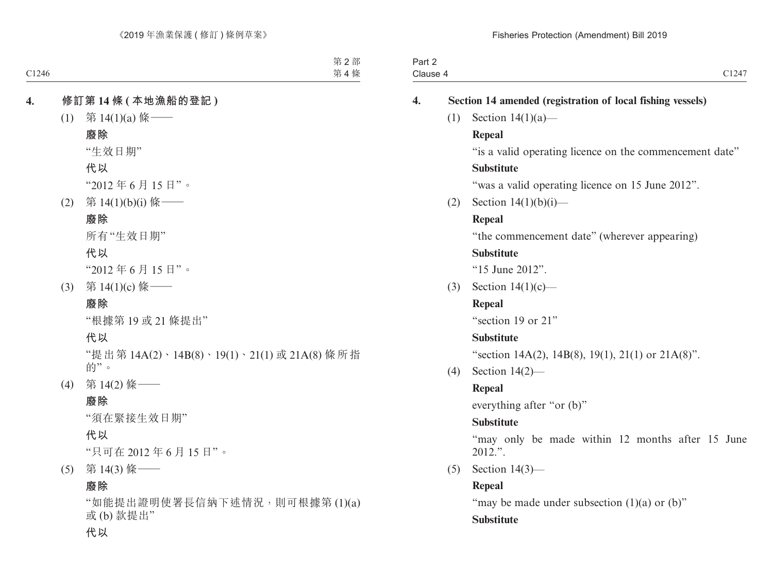|                    | Part 2<br>Clause 4 | C1247                                                       |
|--------------------|--------------------|-------------------------------------------------------------|
|                    |                    |                                                             |
| $\boldsymbol{4}$ . |                    | Section 14 amended (registration of local fishing vessels)  |
|                    | (1)                | Section $14(1)(a)$ —                                        |
|                    |                    | Repeal                                                      |
|                    |                    | "is a valid operating licence on the commencement date"     |
|                    |                    | <b>Substitute</b>                                           |
|                    |                    | "was a valid operating licence on 15 June 2012".            |
|                    | (2)                | Section $14(1)(b)(i)$ —                                     |
|                    |                    | Repeal                                                      |
|                    |                    | "the commencement date" (wherever appearing)                |
|                    |                    | <b>Substitute</b>                                           |
|                    |                    | "15 June 2012".                                             |
|                    | (3)                | Section $14(1)(c)$ —                                        |
|                    |                    | Repeal                                                      |
|                    |                    | "section 19 or 21"                                          |
|                    |                    | <b>Substitute</b>                                           |
|                    |                    | "section 14A(2), 14B(8), 19(1), 21(1) or 21A(8)".           |
|                    | (4)                | Section $14(2)$ —                                           |
|                    |                    | Repeal                                                      |
|                    |                    | everything after "or (b)"                                   |
|                    |                    | <b>Substitute</b>                                           |
|                    |                    | "may only be made within 12 months after 15 June<br>2012.". |
|                    | (5)                | Section $14(3)$ —                                           |
|                    |                    | Repeal                                                      |
|                    |                    | "may be made under subsection $(1)(a)$ or $(b)$ "           |
|                    |                    | <b>Substitute</b>                                           |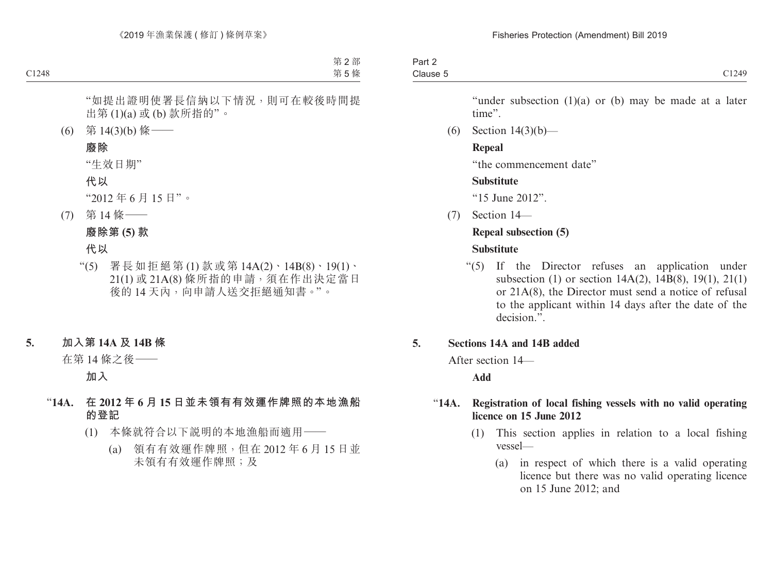"under subsection  $(1)(a)$  or  $(b)$  may be made at a later time".

(6) Section 14(3)(b)—

## **Repeal**

"the commencement date"

# **Substitute**

"15 June 2012".

(7) Section 14—

# **Repeal subsection (5)**

# **Substitute**

"(5) If the Director refuses an application under subsection (1) or section 14A(2), 14B(8), 19(1), 21(1) or 21A(8), the Director must send a notice of refusal to the applicant within 14 days after the date of the decision.".

# **5. Sections 14A and 14B added**

After section 14—

# **Add**

## "**14A. Registration of local fishing vessels with no valid operating licence on 15 June 2012**

- (1) This section applies in relation to a local fishing vessel—
	- (a) in respect of which there is a valid operating licence but there was no valid operating licence on 15 June 2012; and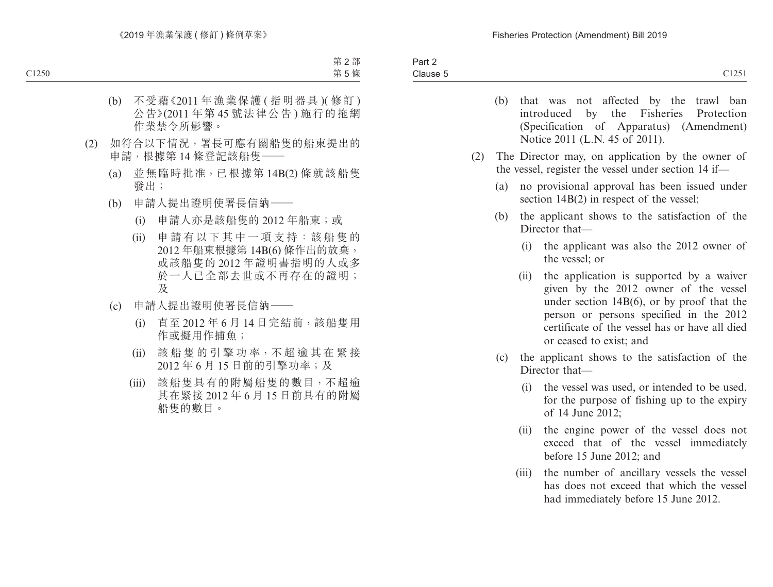- (b) that was not affected by the trawl ban introduced by the Fisheries Protection (Specification of Apparatus) (Amendment) Notice 2011 (L.N. 45 of 2011).
- (2) The Director may, on application by the owner of the vessel, register the vessel under section 14 if—
	- (a) no provisional approval has been issued under section  $14B(2)$  in respect of the vessel;
	- (b) the applicant shows to the satisfaction of the Director that—
		- (i) the applicant was also the 2012 owner of the vessel; or
		- (ii) the application is supported by a waiver given by the 2012 owner of the vessel under section 14B(6), or by proof that the person or persons specified in the 2012 certificate of the vessel has or have all died or ceased to exist; and
	- (c) the applicant shows to the satisfaction of the Director that—
		- (i) the vessel was used, or intended to be used, for the purpose of fishing up to the expiry of 14 June 2012;
		- (ii) the engine power of the vessel does not exceed that of the vessel immediately before 15 June 2012; and
		- (iii) the number of ancillary vessels the vessel has does not exceed that which the vessel had immediately before 15 June 2012.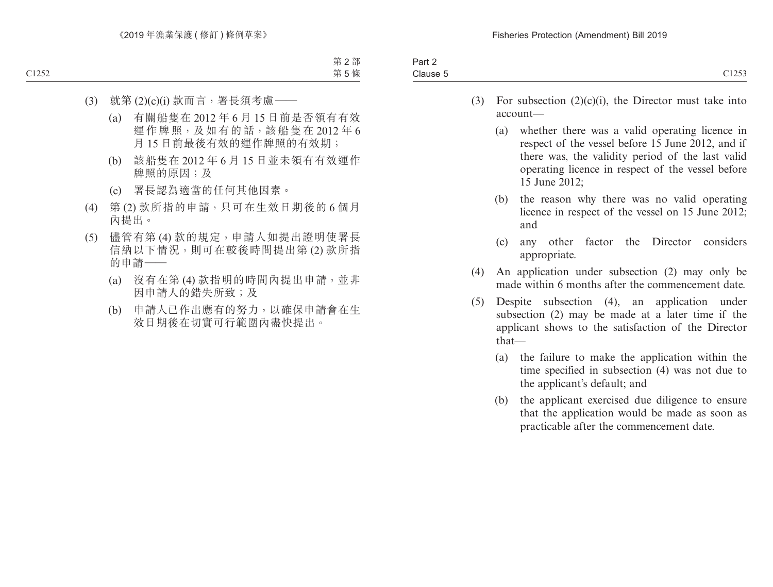| $3 - r +$<br>$\sim$                     |                        |
|-----------------------------------------|------------------------|
| $\overline{\phantom{0}}$<br>:lause<br>. | $\sim$ 1 $\sim$ $\sim$ |
|                                         |                        |

- (3) For subsection  $(2)(c)(i)$ , the Director must take into account—
	- (a) whether there was a valid operating licence in respect of the vessel before 15 June 2012, and if there was, the validity period of the last valid operating licence in respect of the vessel before 15 June 2012;
	- (b) the reason why there was no valid operating licence in respect of the vessel on 15 June 2012; and
	- (c) any other factor the Director considers appropriate.
- (4) An application under subsection (2) may only be made within 6 months after the commencement date.
- (5) Despite subsection (4), an application under subsection (2) may be made at a later time if the applicant shows to the satisfaction of the Director that—
	- (a) the failure to make the application within the time specified in subsection (4) was not due to the applicant's default; and
	- (b) the applicant exercised due diligence to ensure that the application would be made as soon as practicable after the commencement date.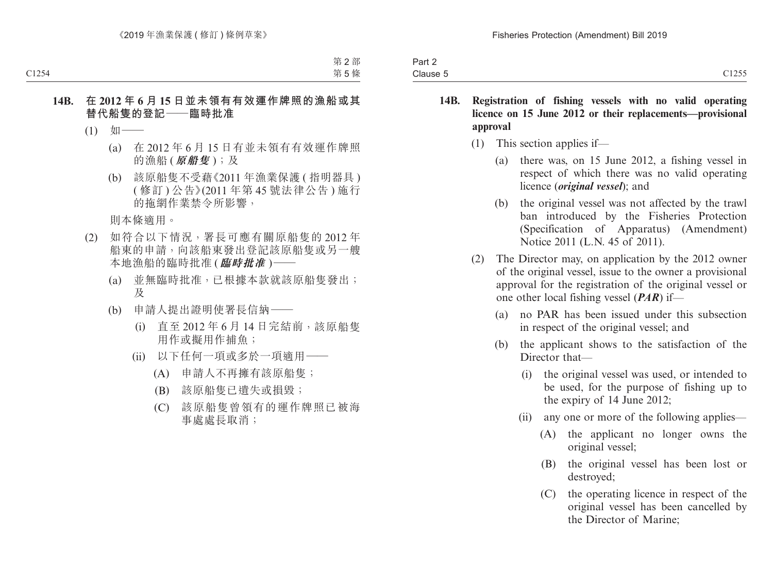| <b>Fail</b>           |                                                          |
|-----------------------|----------------------------------------------------------|
| $\bigcap$<br>Clause 5 | $\sim$ $\sim$ $\sim$ $\sim$<br>$\rightarrow$<br>ر ر ۱۰ د |

- **14B. Registration of fishing vessels with no valid operating licence on 15 June 2012 or their replacements—provisional approval**
	- (1) This section applies if—
		- (a) there was, on 15 June 2012, a fishing vessel in respect of which there was no valid operating licence (*original vessel*); and
		- (b) the original vessel was not affected by the trawl ban introduced by the Fisheries Protection (Specification of Apparatus) (Amendment) Notice 2011 (L.N. 45 of 2011).
	- (2) The Director may, on application by the 2012 owner of the original vessel, issue to the owner a provisional approval for the registration of the original vessel or one other local fishing vessel (*PAR*) if—
		- (a) no PAR has been issued under this subsection in respect of the original vessel; and
		- (b) the applicant shows to the satisfaction of the Director that—
			- (i) the original vessel was used, or intended to be used, for the purpose of fishing up to the expiry of 14 June 2012;
			- (ii) any one or more of the following applies—
				- (A) the applicant no longer owns the original vessel;
				- (B) the original vessel has been lost or destroyed;
				- (C) the operating licence in respect of the original vessel has been cancelled by the Director of Marine;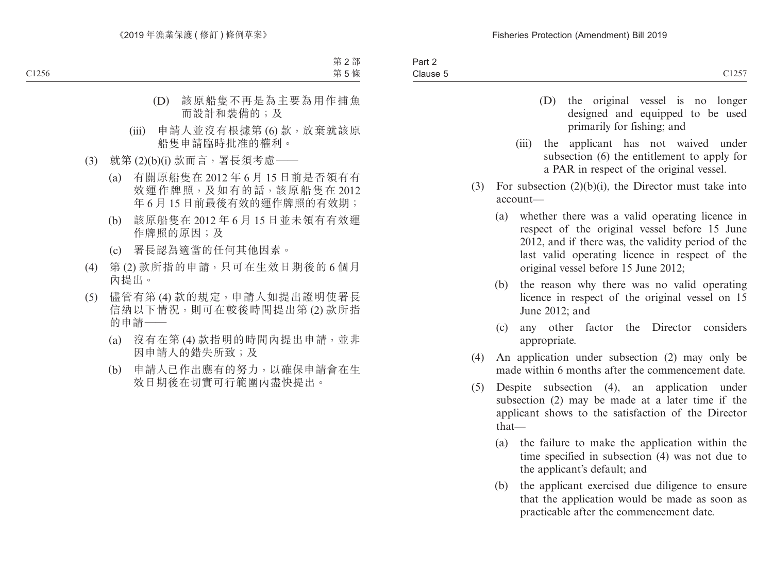| Part 2   |                      |
|----------|----------------------|
| Clause 5 | C1257<br>$\cup$ 1201 |

- (D) the original vessel is no longer designed and equipped to be used primarily for fishing; and
- (iii) the applicant has not waived under subsection (6) the entitlement to apply for a PAR in respect of the original vessel.
- (3) For subsection  $(2)(b)(i)$ , the Director must take into account—
	- (a) whether there was a valid operating licence in respect of the original vessel before 15 June 2012, and if there was, the validity period of the last valid operating licence in respect of the original vessel before 15 June 2012;
	- (b) the reason why there was no valid operating licence in respect of the original vessel on 15 June 2012; and
	- (c) any other factor the Director considers appropriate.
- (4) An application under subsection (2) may only be made within 6 months after the commencement date.
- (5) Despite subsection (4), an application under subsection (2) may be made at a later time if the applicant shows to the satisfaction of the Director that—
	- (a) the failure to make the application within the time specified in subsection (4) was not due to the applicant's default; and
	- (b) the applicant exercised due diligence to ensure that the application would be made as soon as practicable after the commencement date.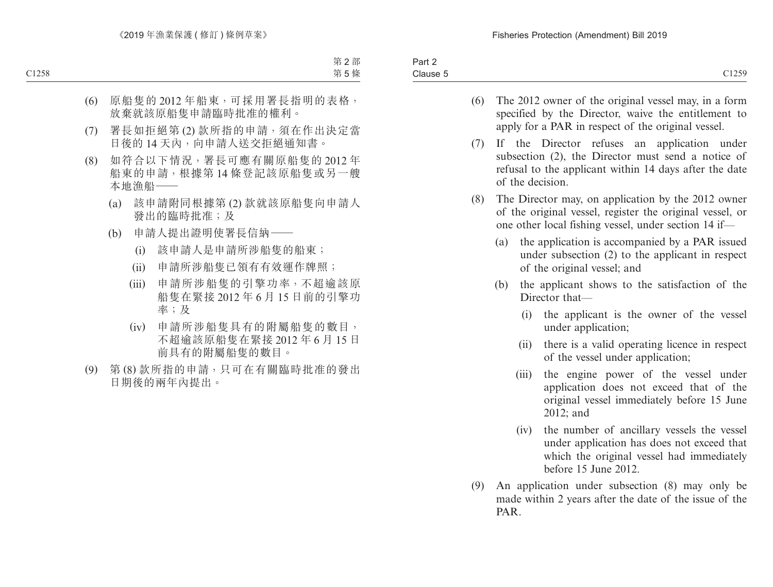- (6) The 2012 owner of the original vessel may, in a form specified by the Director, waive the entitlement to apply for a PAR in respect of the original vessel.
- (7) If the Director refuses an application under subsection (2), the Director must send a notice of refusal to the applicant within 14 days after the date of the decision.
- (8) The Director may, on application by the 2012 owner of the original vessel, register the original vessel, or one other local fishing vessel, under section 14 if—
	- (a) the application is accompanied by a PAR issued under subsection (2) to the applicant in respect of the original vessel; and
	- (b) the applicant shows to the satisfaction of the Director that—
		- (i) the applicant is the owner of the vessel under application;
		- (ii) there is a valid operating licence in respect of the vessel under application;
		- (iii) the engine power of the vessel under application does not exceed that of the original vessel immediately before 15 June 2012; and
		- (iv) the number of ancillary vessels the vessel under application has does not exceed that which the original vessel had immediately before 15 June 2012.
- (9) An application under subsection (8) may only be made within 2 years after the date of the issue of the PAR.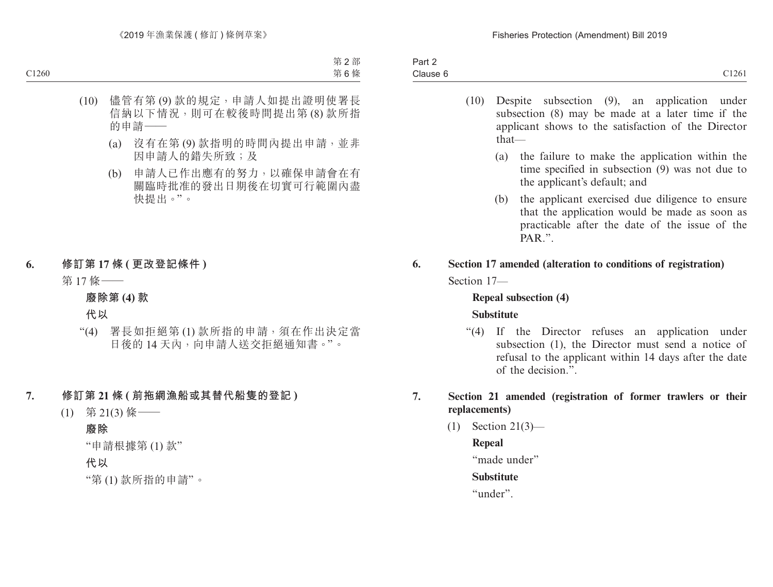| C1261<br>Clause 6 | Part 2 |  |
|-------------------|--------|--|
|                   |        |  |

- (10) Despite subsection (9), an application under subsection (8) may be made at a later time if the applicant shows to the satisfaction of the Director that—
	- (a) the failure to make the application within the time specified in subsection (9) was not due to the applicant's default; and
	- (b) the applicant exercised due diligence to ensure that the application would be made as soon as practicable after the date of the issue of the PAR"
- **6. Section 17 amended (alteration to conditions of registration)** Section 17—

# **Repeal subsection (4) Substitute**

"(4) If the Director refuses an application under subsection (1), the Director must send a notice of refusal to the applicant within 14 days after the date of the decision.".

## **7. Section 21 amended (registration of former trawlers or their replacements)**

(1) Section 21(3)—

# **Repeal**

"made under"

# **Substitute**

"under".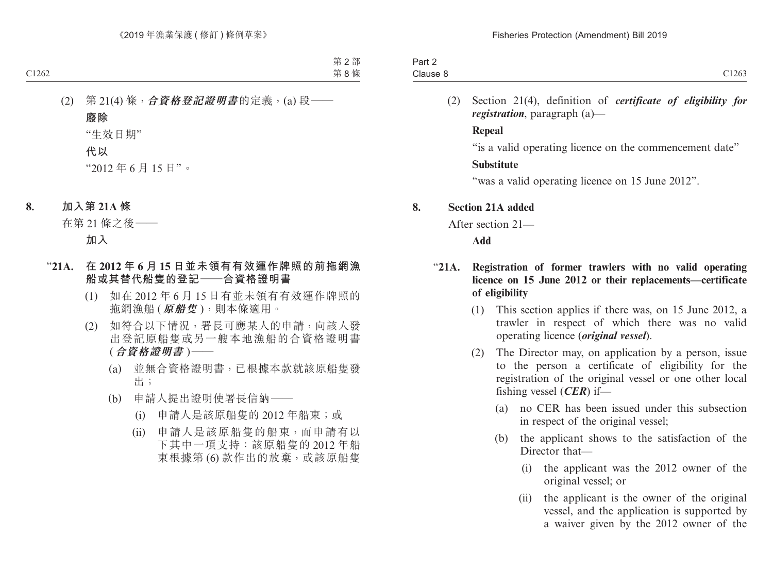| C1263<br>Clause | Part $\sim$ |  |
|-----------------|-------------|--|
|                 |             |  |

(2) Section 21(4), definition of *certificate of eligibility for registration*, paragraph (a)—

#### **Repeal**

"is a valid operating licence on the commencement date"

# **Substitute**

"was a valid operating licence on 15 June 2012".

# **8. Section 21A added**

After section 21—

**Add**

# "**21A. Registration of former trawlers with no valid operating licence on 15 June 2012 or their replacements—certificate of eligibility**

- (1) This section applies if there was, on 15 June 2012, a trawler in respect of which there was no valid operating licence (*original vessel*).
- (2) The Director may, on application by a person, issue to the person a certificate of eligibility for the registration of the original vessel or one other local fishing vessel (*CER*) if—
	- (a) no CER has been issued under this subsection in respect of the original vessel;
	- (b) the applicant shows to the satisfaction of the Director that—
		- (i) the applicant was the 2012 owner of the original vessel; or
		- (ii) the applicant is the owner of the original vessel, and the application is supported by a waiver given by the 2012 owner of the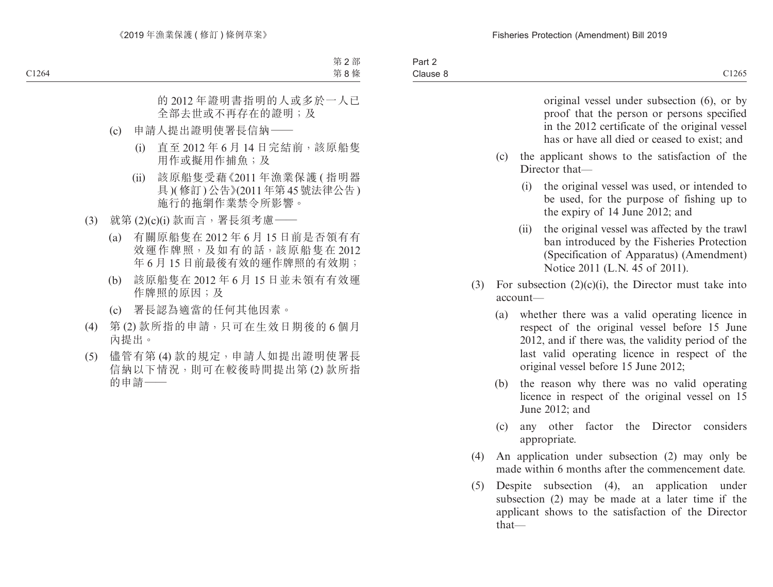| Part 2   |       |
|----------|-------|
| Clause 8 | C1265 |

original vessel under subsection (6), or by proof that the person or persons specified in the 2012 certificate of the original vessel has or have all died or ceased to exist; and

- (c) the applicant shows to the satisfaction of the Director that—
	- (i) the original vessel was used, or intended to be used, for the purpose of fishing up to the expiry of 14 June 2012; and
	- (ii) the original vessel was affected by the trawl ban introduced by the Fisheries Protection (Specification of Apparatus) (Amendment) Notice 2011 (L.N. 45 of 2011).
- (3) For subsection  $(2)(c)(i)$ , the Director must take into account—
	- (a) whether there was a valid operating licence in respect of the original vessel before 15 June 2012, and if there was, the validity period of the last valid operating licence in respect of the original vessel before 15 June 2012;
	- (b) the reason why there was no valid operating licence in respect of the original vessel on 15 June 2012; and
	- (c) any other factor the Director considers appropriate.
- (4) An application under subsection (2) may only be made within 6 months after the commencement date.
- (5) Despite subsection (4), an application under subsection (2) may be made at a later time if the applicant shows to the satisfaction of the Director that—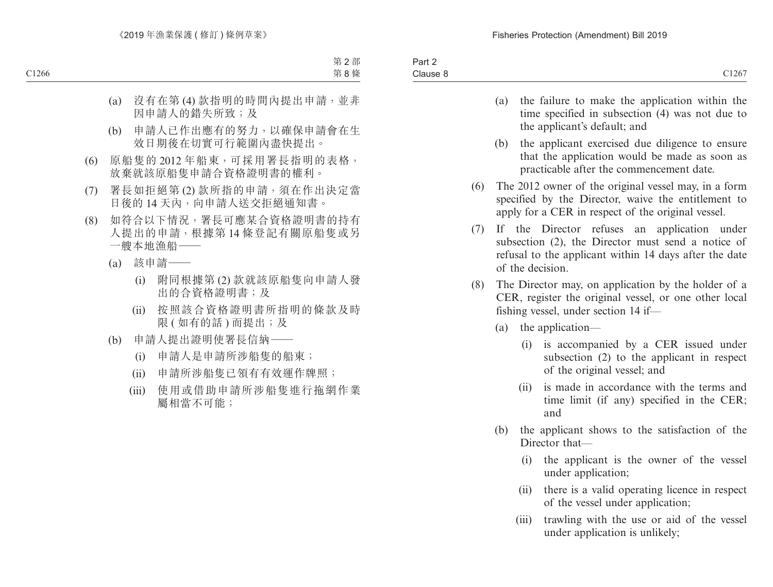- (a) the failure to make the application within the time specified in subsection (4) was not due to the applicant's default; and
- (b) the applicant exercised due diligence to ensure that the application would be made as soon as practicable after the commencement date.
- (6) The 2012 owner of the original vessel may, in a form specified by the Director, waive the entitlement to apply for a CER in respect of the original vessel.
- (7) If the Director refuses an application under subsection (2), the Director must send a notice of refusal to the applicant within 14 days after the date of the decision.
- (8) The Director may, on application by the holder of a CER, register the original vessel, or one other local fishing vessel, under section 14 if—
	- (a) the application—
		- (i) is accompanied by a CER issued under subsection (2) to the applicant in respect of the original vessel; and
		- (ii) is made in accordance with the terms and time limit (if any) specified in the CER; and
	- (b) the applicant shows to the satisfaction of the Director that—
		- (i) the applicant is the owner of the vessel under application;
		- (ii) there is a valid operating licence in respect of the vessel under application;
		- (iii) trawling with the use or aid of the vessel under application is unlikely;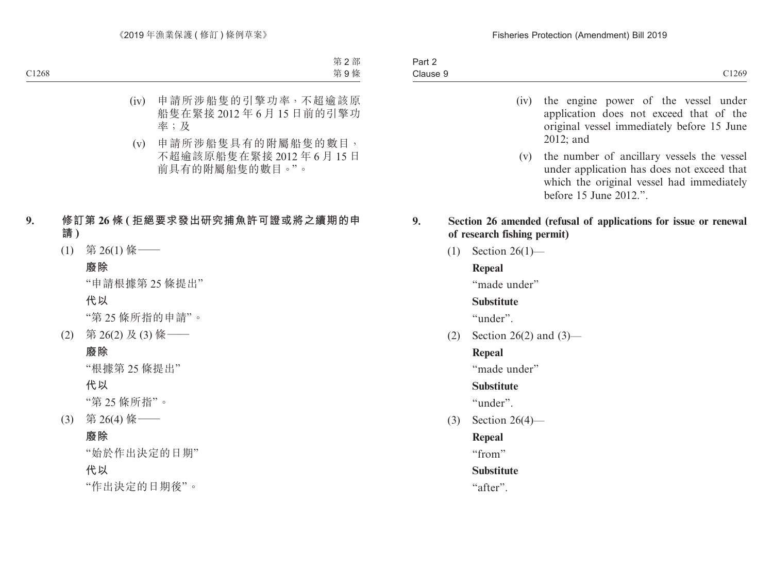- (iv) the engine power of the vessel under application does not exceed that of the original vessel immediately before 15 June 2012; and
- (v) the number of ancillary vessels the vessel under application has does not exceed that which the original vessel had immediately before 15 June 2012.".

## **9. Section 26 amended (refusal of applications for issue or renewal of research fishing permit)**

(1) Section 26(1)—

# **Repeal**

"made under"

### **Substitute**

"under".

(2) Section 26(2) and  $(3)$ —

# **Repeal**

"made under"

# **Substitute**

"under".

(3) Section 26(4)—

# **Repeal**

"from"

# **Substitute**

"after".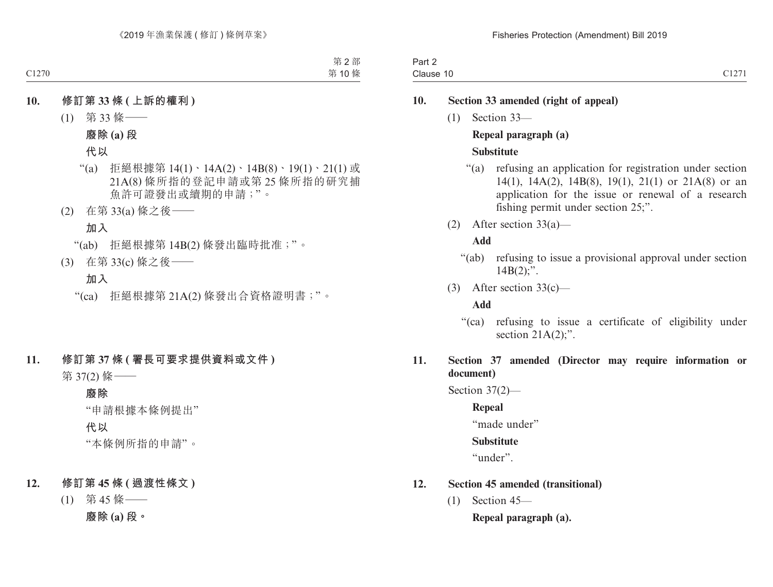| $Part \sim$         |                                    |
|---------------------|------------------------------------|
| ∽<br>Clause 10<br>. | $\sim$ $\sim$ $\sim$ $\sim$ $\sim$ |

## **10. Section 33 amended (right of appeal)**

(1) Section 33—

#### **Repeal paragraph (a)**

## **Substitute**

- "(a) refusing an application for registration under section 14(1), 14A(2), 14B(8), 19(1), 21(1) or 21A(8) or an application for the issue or renewal of a research fishing permit under section 25;".
- (2) After section 33(a)—

## **Add**

- "(ab) refusing to issue a provisional approval under section  $14B(2)$ ;".
- (3) After section 33(c)—

### **Add**

"(ca) refusing to issue a certificate of eligibility under section  $21A(2)$ ;".

# **11. Section 37 amended (Director may require information or document)**

Section 37(2)—

**Repeal**

"made under"

### **Substitute**

"under".

# **12. Section 45 amended (transitional)**

(1) Section 45—

**Repeal paragraph (a).**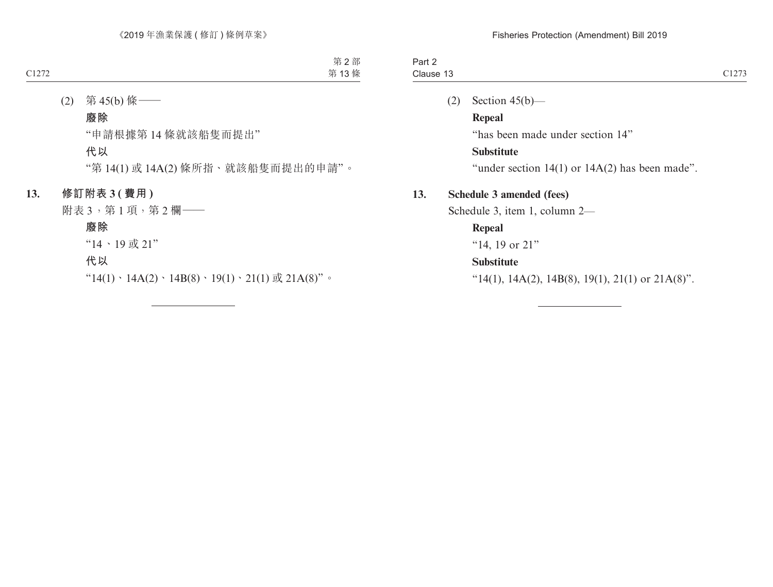| $.$ $.$<br>⊤ail 4<br>$-$ |                               |
|--------------------------|-------------------------------|
| Clause 15                | $\cap$ 1070<br>$\overline{1}$ |
|                          |                               |

(2) Section  $45(b)$ —

**Repeal** "has been made under section 14" **Substitute**

"under section  $14(1)$  or  $14A(2)$  has been made".

## **13. Schedule 3 amended (fees)**

Schedule 3, item 1, column 2—

# **Repeal**

"14, 19 or 21"

# **Substitute**

" $14(1)$ ,  $14A(2)$ ,  $14B(8)$ ,  $19(1)$ ,  $21(1)$  or  $21A(8)$ ".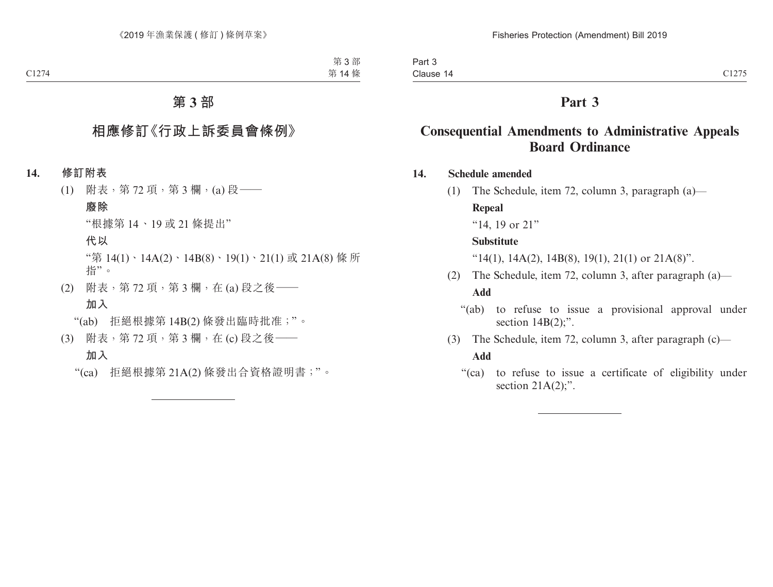# **Part 3**

# **Consequential Amendments to Administrative Appeals Board Ordinance**

- **14. Schedule amended**
	- (1) The Schedule, item 72, column 3, paragraph (a)—

#### **Repeal**

"14, 19 or 21"

#### **Substitute**

" $14(1)$ ,  $14A(2)$ ,  $14B(8)$ ,  $19(1)$ ,  $21(1)$  or  $21A(8)$ ".

- (2) The Schedule, item 72, column 3, after paragraph (a)— **Add**
	- "(ab) to refuse to issue a provisional approval under section  $14B(2)$ ;".
- (3) The Schedule, item 72, column 3, after paragraph (c)— **Add**
	- "(ca) to refuse to issue a certificate of eligibility under section  $21A(2)$ ;".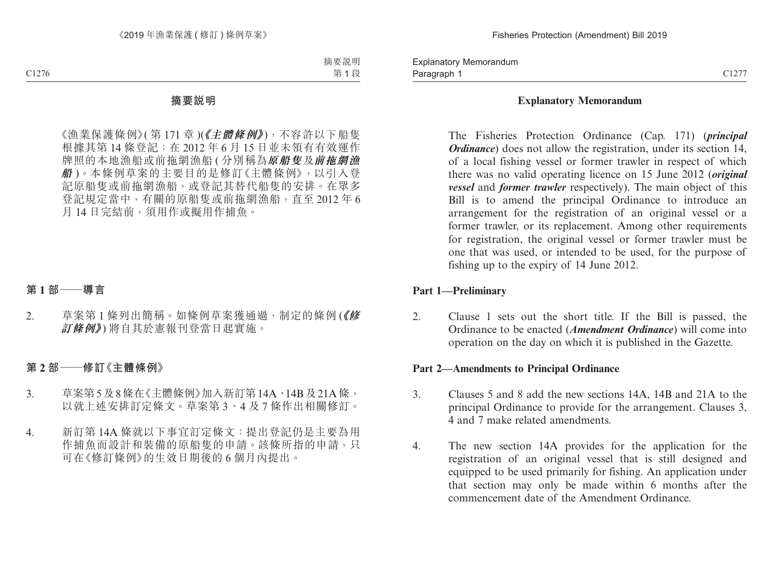Paragraph 1 and 2012 C1277 Explanatory Memorandum Paragraph 1

#### **Explanatory Memorandum**

The Fisheries Protection Ordinance (Cap. 171) (*principal Ordinance*) does not allow the registration, under its section 14. of a local fishing vessel or former trawler in respect of which there was no valid operating licence on 15 June 2012 (*original vessel* and *former trawler* respectively). The main object of this Bill is to amend the principal Ordinance to introduce an arrangement for the registration of an original vessel or a former trawler, or its replacement. Among other requirements for registration, the original vessel or former trawler must be one that was used, or intended to be used, for the purpose of fishing up to the expiry of 14 June 2012.

#### **Part 1—Preliminary**

2. Clause 1 sets out the short title. If the Bill is passed, the Ordinance to be enacted (*Amendment Ordinance*) will come into operation on the day on which it is published in the Gazette.

#### **Part 2—Amendments to Principal Ordinance**

- 3. Clauses 5 and 8 add the new sections 14A, 14B and 21A to the principal Ordinance to provide for the arrangement. Clauses 3, 4 and 7 make related amendments.
- 4. The new section 14A provides for the application for the registration of an original vessel that is still designed and equipped to be used primarily for fishing. An application under that section may only be made within 6 months after the commencement date of the Amendment Ordinance.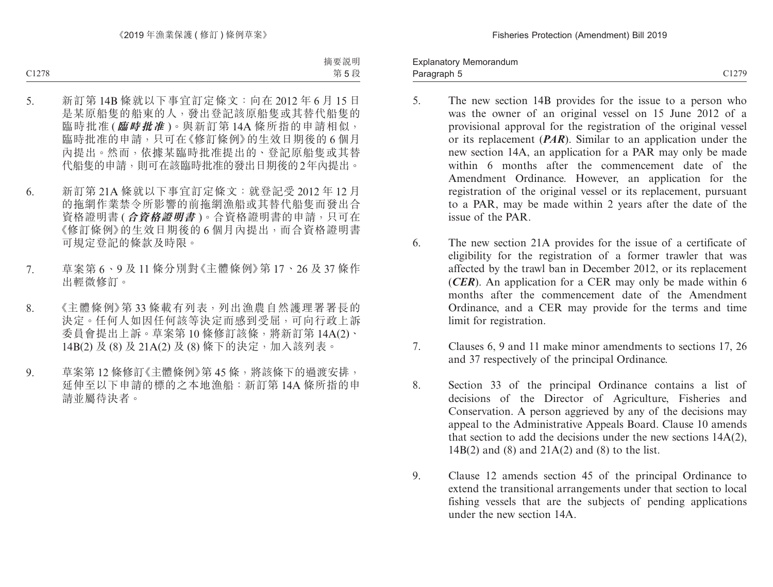Paragraph 5 and 2012/9 Explanatory Memorandum Paragraph 5

- 5. The new section 14B provides for the issue to a person who was the owner of an original vessel on 15 June 2012 of a provisional approval for the registration of the original vessel or its replacement (*PAR*). Similar to an application under the new section 14A, an application for a PAR may only be made within 6 months after the commencement date of the Amendment Ordinance. However, an application for the registration of the original vessel or its replacement, pursuant to a PAR, may be made within 2 years after the date of the issue of the PAR.
- 6. The new section 21A provides for the issue of a certificate of eligibility for the registration of a former trawler that was affected by the trawl ban in December 2012, or its replacement (*CER*). An application for a CER may only be made within 6 months after the commencement date of the Amendment Ordinance, and a CER may provide for the terms and time limit for registration.
- 7. Clauses 6, 9 and 11 make minor amendments to sections 17, 26 and 37 respectively of the principal Ordinance.
- 8. Section 33 of the principal Ordinance contains a list of decisions of the Director of Agriculture, Fisheries and Conservation. A person aggrieved by any of the decisions may appeal to the Administrative Appeals Board. Clause 10 amends that section to add the decisions under the new sections 14A(2), 14B(2) and (8) and 21A(2) and (8) to the list.
- 9. Clause 12 amends section 45 of the principal Ordinance to extend the transitional arrangements under that section to local fishing vessels that are the subjects of pending applications under the new section 14A.